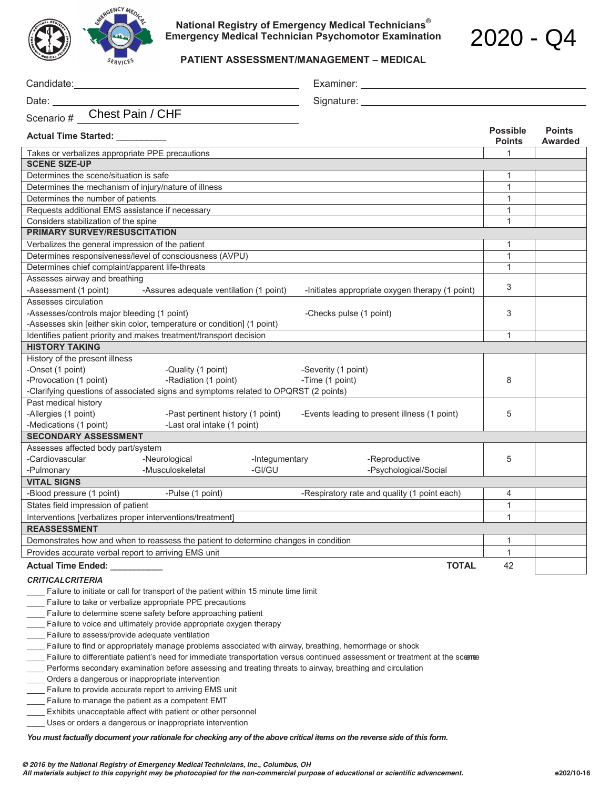

**National Registry of Emergency Medical Technicians® Emergency Medical Technician Psychomotor Examination** 

**PATIENT ASSESSMENT/MANAGEMENT – MEDICAL** 

| Date:                                                                                                                                                         |                                                                  |                | Signature: _____        |                                                 |                                  |                                 |
|---------------------------------------------------------------------------------------------------------------------------------------------------------------|------------------------------------------------------------------|----------------|-------------------------|-------------------------------------------------|----------------------------------|---------------------------------|
| Scenario # __Chest Pain / CHF                                                                                                                                 |                                                                  |                |                         |                                                 |                                  |                                 |
| <b>Actual Time Started:</b>                                                                                                                                   |                                                                  |                |                         |                                                 | <b>Possible</b><br><b>Points</b> | <b>Points</b><br><b>Awarded</b> |
| Takes or verbalizes appropriate PPE precautions                                                                                                               |                                                                  |                |                         |                                                 | 1                                |                                 |
| <b>SCENE SIZE-UP</b>                                                                                                                                          |                                                                  |                |                         |                                                 |                                  |                                 |
| Determines the scene/situation is safe                                                                                                                        |                                                                  |                |                         |                                                 | 1                                |                                 |
| Determines the mechanism of injury/nature of illness                                                                                                          |                                                                  |                | $\mathbf{1}$            |                                                 |                                  |                                 |
| Determines the number of patients                                                                                                                             |                                                                  |                |                         |                                                 | $\mathbf{1}$                     |                                 |
| Requests additional EMS assistance if necessary                                                                                                               |                                                                  |                | $\mathbf{1}$            |                                                 |                                  |                                 |
| Considers stabilization of the spine                                                                                                                          |                                                                  |                | $\mathbf{1}$            |                                                 |                                  |                                 |
| <b>PRIMARY SURVEY/RESUSCITATION</b>                                                                                                                           |                                                                  |                |                         |                                                 |                                  |                                 |
| Verbalizes the general impression of the patient                                                                                                              |                                                                  |                | 1                       |                                                 |                                  |                                 |
| Determines responsiveness/level of consciousness (AVPU)                                                                                                       |                                                                  |                | 1                       |                                                 |                                  |                                 |
|                                                                                                                                                               | Determines chief complaint/apparent life-threats                 |                |                         | $\mathbf{1}$                                    |                                  |                                 |
| Assesses airway and breathing                                                                                                                                 |                                                                  |                |                         |                                                 | 3                                |                                 |
| -Assessment (1 point)                                                                                                                                         | -Assures adequate ventilation (1 point)                          |                |                         | -Initiates appropriate oxygen therapy (1 point) |                                  |                                 |
| Assesses circulation                                                                                                                                          |                                                                  |                |                         |                                                 |                                  |                                 |
| -Assesses/controls major bleeding (1 point)                                                                                                                   |                                                                  |                | -Checks pulse (1 point) |                                                 | 3                                |                                 |
| -Assesses skin [either skin color, temperature or condition] (1 point)                                                                                        |                                                                  |                |                         |                                                 |                                  |                                 |
| Identifies patient priority and makes treatment/transport decision                                                                                            |                                                                  |                |                         |                                                 | 1                                |                                 |
| <b>HISTORY TAKING</b>                                                                                                                                         |                                                                  |                |                         |                                                 |                                  |                                 |
| History of the present illness                                                                                                                                |                                                                  |                |                         |                                                 |                                  |                                 |
| -Onset (1 point)                                                                                                                                              | -Quality (1 point)                                               |                | -Severity (1 point)     |                                                 |                                  |                                 |
| -Provocation (1 point)                                                                                                                                        | -Radiation (1 point)                                             |                | -Time (1 point)         |                                                 | 8                                |                                 |
| -Clarifying questions of associated signs and symptoms related to OPQRST (2 points)<br>Past medical history                                                   |                                                                  |                |                         |                                                 |                                  |                                 |
|                                                                                                                                                               |                                                                  |                |                         |                                                 | 5                                |                                 |
| -Allergies (1 point)<br>-Medications (1 point)                                                                                                                | -Past pertinent history (1 point)<br>-Last oral intake (1 point) |                |                         | -Events leading to present illness (1 point)    |                                  |                                 |
| <b>SECONDARY ASSESSMENT</b>                                                                                                                                   |                                                                  |                |                         |                                                 |                                  |                                 |
| Assesses affected body part/system                                                                                                                            |                                                                  |                |                         |                                                 |                                  |                                 |
| -Cardiovascular                                                                                                                                               | -Neurological                                                    | -Integumentary |                         | -Reproductive                                   | 5                                |                                 |
| -Pulmonary                                                                                                                                                    | -Musculoskeletal                                                 | -GI/GU         |                         | -Psychological/Social                           |                                  |                                 |
| <b>VITAL SIGNS</b>                                                                                                                                            |                                                                  |                |                         |                                                 |                                  |                                 |
| -Blood pressure (1 point)                                                                                                                                     | -Pulse (1 point)                                                 |                |                         | -Respiratory rate and quality (1 point each)    | $\overline{4}$                   |                                 |
| States field impression of patient                                                                                                                            |                                                                  |                |                         |                                                 | 1                                |                                 |
| Interventions Iverbalizes proper interventions/treatment1                                                                                                     |                                                                  |                |                         |                                                 | $\mathbf{1}$                     |                                 |
| <b>REASSESSMENT</b>                                                                                                                                           |                                                                  |                |                         |                                                 |                                  |                                 |
| Demonstrates how and when to reassess the patient to determine changes in condition                                                                           |                                                                  |                |                         |                                                 | 1                                |                                 |
| Provides accurate verbal report to arriving EMS unit                                                                                                          |                                                                  |                |                         |                                                 | $\mathbf{1}$                     |                                 |
|                                                                                                                                                               |                                                                  |                |                         | <b>TOTAL</b>                                    | 42                               |                                 |
| <b>Actual Time Ended:</b>                                                                                                                                     |                                                                  |                |                         |                                                 |                                  |                                 |
| <b>CRITICALCRITERIA</b>                                                                                                                                       |                                                                  |                |                         |                                                 |                                  |                                 |
| Failure to initiate or call for transport of the patient within 15 minute time limit                                                                          |                                                                  |                |                         |                                                 |                                  |                                 |
| Failure to take or verbalize appropriate PPE precautions                                                                                                      |                                                                  |                |                         |                                                 |                                  |                                 |
| Failure to determine scene safety before approaching patient                                                                                                  |                                                                  |                |                         |                                                 |                                  |                                 |
| Failure to voice and ultimately provide appropriate oxygen therapy                                                                                            |                                                                  |                |                         |                                                 |                                  |                                 |
| Failure to assess/provide adequate ventilation                                                                                                                |                                                                  |                |                         |                                                 |                                  |                                 |
| Failure to find or appropriately manage problems associated with airway, breathing, hemorrhage or shock                                                       |                                                                  |                |                         |                                                 |                                  |                                 |
| Failure to differentiate patient's need for immediate transportation versus continued assessment or treatment at the scenee                                   |                                                                  |                |                         |                                                 |                                  |                                 |
| Performs secondary examination before assessing and treating threats to airway, breathing and circulation<br>Orders a dangerous or inappropriate intervention |                                                                  |                |                         |                                                 |                                  |                                 |
| Failure to provide accurate report to arriving EMS unit                                                                                                       |                                                                  |                |                         |                                                 |                                  |                                 |
| Failure to manage the patient as a competent EMT                                                                                                              |                                                                  |                |                         |                                                 |                                  |                                 |
| Exhibits unacceptable affect with patient or other personnel                                                                                                  |                                                                  |                |                         |                                                 |                                  |                                 |
| Uses or orders a dangerous or inappropriate intervention                                                                                                      |                                                                  |                |                         |                                                 |                                  |                                 |

*You must factually document your rationale for checking any of the above critical items on the reverse side of this form.*

2020 - Q4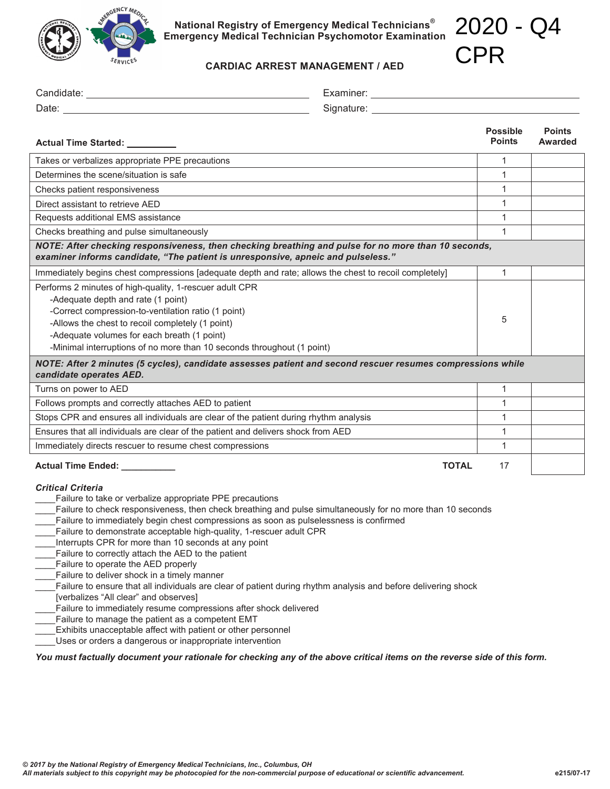

**National Registry of Emergency Medical Technicians® Emergency Medical Technician Psychomotor Examination** 2020 - Q4

CPR

| 5kRV<br><b>CARDIAC ARREST MANAGEMENT / AED</b>                                                                                                                                                                                                                                                                                    |                                                                                                                                                                                                                                |                                  |                          |
|-----------------------------------------------------------------------------------------------------------------------------------------------------------------------------------------------------------------------------------------------------------------------------------------------------------------------------------|--------------------------------------------------------------------------------------------------------------------------------------------------------------------------------------------------------------------------------|----------------------------------|--------------------------|
|                                                                                                                                                                                                                                                                                                                                   |                                                                                                                                                                                                                                |                                  |                          |
|                                                                                                                                                                                                                                                                                                                                   | Signature: the contract of the contract of the contract of the contract of the contract of the contract of the contract of the contract of the contract of the contract of the contract of the contract of the contract of the |                                  |                          |
| Actual Time Started: _________                                                                                                                                                                                                                                                                                                    |                                                                                                                                                                                                                                | <b>Possible</b><br><b>Points</b> | <b>Points</b><br>Awarded |
| Takes or verbalizes appropriate PPE precautions                                                                                                                                                                                                                                                                                   |                                                                                                                                                                                                                                |                                  |                          |
| Determines the scene/situation is safe                                                                                                                                                                                                                                                                                            |                                                                                                                                                                                                                                | 1                                |                          |
| Checks patient responsiveness                                                                                                                                                                                                                                                                                                     |                                                                                                                                                                                                                                |                                  |                          |
| Direct assistant to retrieve AED                                                                                                                                                                                                                                                                                                  |                                                                                                                                                                                                                                |                                  |                          |
| Requests additional EMS assistance                                                                                                                                                                                                                                                                                                |                                                                                                                                                                                                                                |                                  |                          |
| Checks breathing and pulse simultaneously                                                                                                                                                                                                                                                                                         |                                                                                                                                                                                                                                |                                  |                          |
| NOTE: After checking responsiveness, then checking breathing and pulse for no more than 10 seconds,<br>examiner informs candidate, "The patient is unresponsive, apneic and pulseless."                                                                                                                                           |                                                                                                                                                                                                                                |                                  |                          |
| Immediately begins chest compressions [adequate depth and rate; allows the chest to recoil completely]                                                                                                                                                                                                                            |                                                                                                                                                                                                                                | $\mathbf{1}$                     |                          |
| Performs 2 minutes of high-quality, 1-rescuer adult CPR<br>-Adequate depth and rate (1 point)<br>-Correct compression-to-ventilation ratio (1 point)<br>-Allows the chest to recoil completely (1 point)<br>-Adequate volumes for each breath (1 point)<br>-Minimal interruptions of no more than 10 seconds throughout (1 point) |                                                                                                                                                                                                                                |                                  |                          |
| NOTE: After 2 minutes (5 cycles), candidate assesses patient and second rescuer resumes compressions while<br>candidate operates AED.                                                                                                                                                                                             |                                                                                                                                                                                                                                |                                  |                          |
| Turns on power to AED                                                                                                                                                                                                                                                                                                             |                                                                                                                                                                                                                                | $\mathbf{1}$                     |                          |
| Follows prompts and correctly attaches AED to patient                                                                                                                                                                                                                                                                             |                                                                                                                                                                                                                                |                                  |                          |
| Stops CPR and ensures all individuals are clear of the patient during rhythm analysis                                                                                                                                                                                                                                             |                                                                                                                                                                                                                                |                                  |                          |
| Ensures that all individuals are clear of the patient and delivers shock from AED                                                                                                                                                                                                                                                 |                                                                                                                                                                                                                                |                                  |                          |
| Immediately directs rescuer to resume chest compressions                                                                                                                                                                                                                                                                          |                                                                                                                                                                                                                                |                                  |                          |
| Actual Time Ended: _________                                                                                                                                                                                                                                                                                                      | <b>TOTAL</b>                                                                                                                                                                                                                   | 17                               |                          |

## *Critical Criteria*

- Failure to take or verbalize appropriate PPE precautions
- Failure to check responsiveness, then check breathing and pulse simultaneously for no more than 10 seconds
- Failure to immediately begin chest compressions as soon as pulselessness is confirmed
- Failure to demonstrate acceptable high-quality, 1-rescuer adult CPR
- \_\_\_\_ Interrupts CPR for more than 10 seconds at any point
- Failure to correctly attach the AED to the patient
- \_\_\_\_ Failure to operate the AED properly
- Failure to deliver shock in a timely manner
- \_\_\_\_ Failure to ensure that all individuals are clear of patient during rhythm analysis and before delivering shock
- [verbalizes "All clear" and observes]
- Failure to immediately resume compressions after shock delivered
- Failure to manage the patient as a competent EMT
- \_\_\_\_ Exhibits unacceptable affect with patient or other personnel
- \_\_\_\_ Uses or orders a dangerous or inappropriate intervention

## *You must factually document your rationale for checking any of the above critical items on the reverse side of this form.*